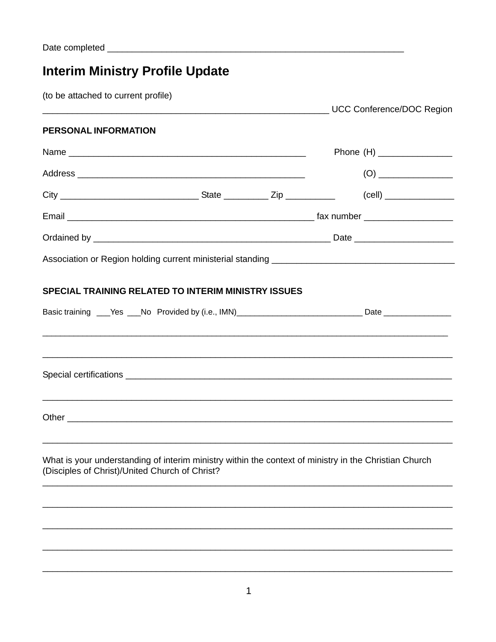# **Interim Ministry Profile Update**

(to be attached to current profile)

| PERSONAL INFORMATION                                                                                                                                    |  |                            |
|---------------------------------------------------------------------------------------------------------------------------------------------------------|--|----------------------------|
|                                                                                                                                                         |  | Phone (H) ________________ |
|                                                                                                                                                         |  |                            |
|                                                                                                                                                         |  |                            |
|                                                                                                                                                         |  |                            |
|                                                                                                                                                         |  |                            |
|                                                                                                                                                         |  |                            |
| <b>SPECIAL TRAINING RELATED TO INTERIM MINISTRY ISSUES</b>                                                                                              |  |                            |
| Basic training ___Yes ___No Provided by (i.e., IMN)_____________________________Date _______________                                                    |  |                            |
|                                                                                                                                                         |  |                            |
|                                                                                                                                                         |  |                            |
|                                                                                                                                                         |  |                            |
| What is your understanding of interim ministry within the context of ministry in the Christian Church<br>(Disciples of Christ)/United Church of Christ? |  |                            |
|                                                                                                                                                         |  |                            |
|                                                                                                                                                         |  |                            |
|                                                                                                                                                         |  |                            |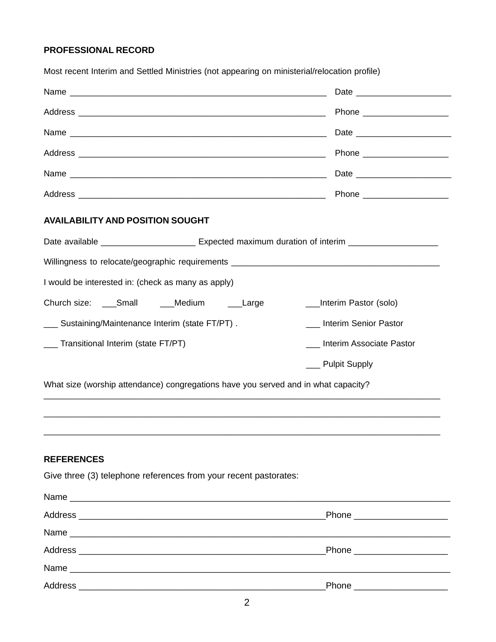### **PROFESSIONAL RECORD**

|                                                                                                      | Phone ________________________ |  |  |
|------------------------------------------------------------------------------------------------------|--------------------------------|--|--|
|                                                                                                      |                                |  |  |
|                                                                                                      | Phone _______________________  |  |  |
|                                                                                                      |                                |  |  |
|                                                                                                      |                                |  |  |
| <b>AVAILABILITY AND POSITION SOUGHT</b>                                                              |                                |  |  |
| Date available ____________________________ Expected maximum duration of interim ___________________ |                                |  |  |
| Willingness to relocate/geographic requirements _________________________________                    |                                |  |  |
| I would be interested in: (check as many as apply)                                                   |                                |  |  |
| Church size: ____Small _____Medium _____Large                                                        | __Interim Pastor (solo)        |  |  |
| ___ Sustaining/Maintenance Interim (state FT/PT).                                                    | __ Interim Senior Pastor       |  |  |
| __ Transitional Interim (state FT/PT)                                                                | Interim Associate Pastor       |  |  |
|                                                                                                      | __ Pulpit Supply               |  |  |
| What size (worship attendance) congregations have you served and in what capacity?                   |                                |  |  |
|                                                                                                      |                                |  |  |
|                                                                                                      |                                |  |  |
|                                                                                                      |                                |  |  |

Most recent Interim and Settled Ministries (not appearing on ministerial/relocation profile)

## **REFERENCES**

Give three (3) telephone references from your recent pastorates:

| Phone ______________________  |
|-------------------------------|
|                               |
| Phone _______________________ |
|                               |
| Phone _____________________   |